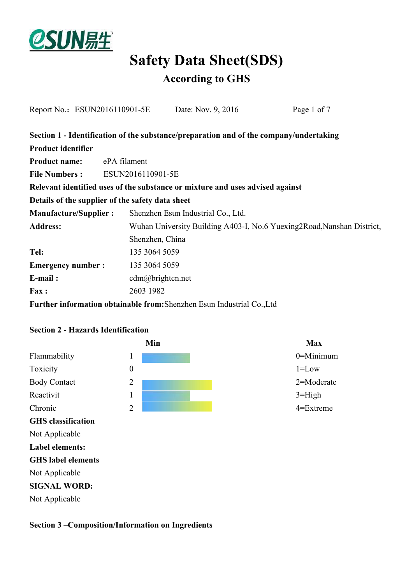

# **Safety Data Sheet(SDS)**

### **According to GHS**

| Report No.: ESUN2016110901-5E                                                 |              | Date: Nov. 9, 2016                                                                     |  | Page 1 of 7 |  |
|-------------------------------------------------------------------------------|--------------|----------------------------------------------------------------------------------------|--|-------------|--|
|                                                                               |              | Section 1 - Identification of the substance/preparation and of the company/undertaking |  |             |  |
| <b>Product identifier</b>                                                     |              |                                                                                        |  |             |  |
| <b>Product name:</b>                                                          | ePA filament |                                                                                        |  |             |  |
| <b>File Numbers:</b>                                                          |              | ESUN2016110901-5E                                                                      |  |             |  |
| Relevant identified uses of the substance or mixture and uses advised against |              |                                                                                        |  |             |  |
|                                                                               |              | Details of the supplier of the safety data sheet                                       |  |             |  |
| <b>Manufacture/Supplier:</b>                                                  |              | Shenzhen Esun Industrial Co., Ltd.                                                     |  |             |  |
| <b>Address:</b>                                                               |              | Wuhan University Building A403-I, No.6 Yuexing 2Road, Nanshan District,                |  |             |  |
|                                                                               |              | Shenzhen, China                                                                        |  |             |  |
| Tel:                                                                          |              | 135 3064 5059                                                                          |  |             |  |
| <b>Emergency number:</b>                                                      |              | 135 3064 5059                                                                          |  |             |  |
| $E$ -mail:                                                                    |              | $cdm(a)$ brightcn.net                                                                  |  |             |  |
| Fax:                                                                          |              | 2603 1982                                                                              |  |             |  |
|                                                                               |              | Further information obtainable from: Shenzhen Esun Industrial Co., Ltd                 |  |             |  |

### **Section 2 - Hazards Identification**



#### **Section 3 –Composition/Information on Ingredients**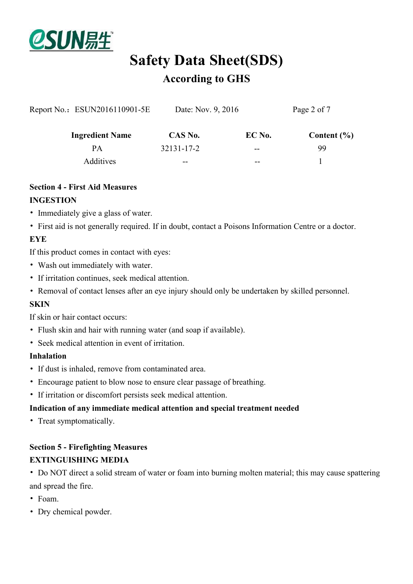

| Report No.: ESUN2016110901-5E | Date: Nov. 9, 2016 |               | Page 2 of 7     |  |
|-------------------------------|--------------------|---------------|-----------------|--|
| <b>Ingredient Name</b>        | CAS No.            | EC No.        | Content $(\% )$ |  |
| PА                            | 32131-17-2         | $\sim$ $\sim$ | 99              |  |
| Additives                     | $- -$              | --            |                 |  |

### **Section 4 - First Aid Measures INGESTION**

- Immediately give a glass of water.
- First aid is not generally required. If in doubt, contact a Poisons Information Centre or a doctor.

### **EYE**

If this product comes in contact with eyes:

- Wash out immediately with water.
- If irritation continues, seek medical attention.
- Removal of contact lenses after an eye injury should only be undertaken by skilled personnel.

### **SKIN**

If skin or hair contact occurs:

- Flush skin and hair with running water (and soap if available).
- Seek medical attention in event of irritation.

#### **Inhalation**

- If dust is inhaled, remove from contaminated area.
- Encourage patient to blow nose to ensure clear passage of breathing.
- If irritation or discomfort persists seek medical attention.

### **Indication of any immediate medical attention and special treatment needed**

• Treat symptomatically.

### **Section 5 - Firefighting Measures EXTINGUISHING MEDIA**

• Do NOT direct a solid stream of water or foam into burning molten material; this may cause spattering and spread the fire.

- Foam.
- Dry chemical powder.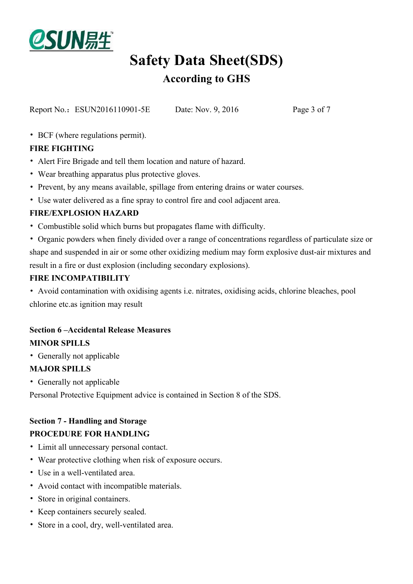

# **Safety Data Sheet(SDS)**

### **According to GHS**

Report No.: ESUN2016110901-5E Date: Nov. 9, 2016 Page 3 of 7

• BCF (where regulations permit).

### **FIRE FIGHTING**

- Alert Fire Brigade and tell them location and nature of hazard.
- Wear breathing apparatus plus protective gloves.
- Prevent, by any means available, spillage from entering drains or water courses.
- Use water delivered as a fine spray to control fire and cool adjacent area.

### **FIRE/EXPLOSION HAZARD**

- Combustible solid which burns but propagates flame with difficulty.
- Organic powders when finely divided over a range of concentrations regardless of particulate size or shape and suspended in air or some other oxidizing medium may form explosive dust-air mixtures and result in a fire or dust explosion (including secondary explosions).

### **FIRE INCOMPATIBILITY**

• Avoid contamination with oxidising agents i.e. nitrates, oxidising acids, chlorine bleaches, pool chlorine etc.as ignition may result

### **Section 6 –Accidental Release Measures MINOR SPILLS**

• Generally not applicable

### **MAJOR SPILLS**

• Generally not applicable

Personal Protective Equipment advice is contained in Section 8 of the SDS.

### **Section 7 - Handling and Storage**

### **PROCEDURE FOR HANDLING**

- Limit all unnecessary personal contact.
- Wear protective clothing when risk of exposure occurs.
- Use in a well-ventilated area.
- Avoid contact with incompatible materials.
- Store in original containers.
- Keep containers securely sealed.
- Store in a cool, dry, well-ventilated area.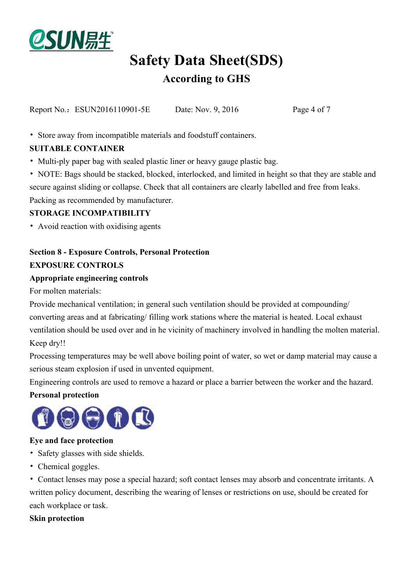

Report No.: ESUN2016110901-5E Date: Nov. 9, 2016 Page 4 of 7

• Store away from incompatible materials and foodstuff containers.

### **SUITABLE CONTAINER**

• Multi-ply paper bag with sealed plastic liner or heavy gauge plastic bag.

• NOTE: Bags should be stacked, blocked, interlocked, and limited in height so that they are stable and secure against sliding or collapse. Check that all containers are clearly labelled and free from leaks. Packing as recommended by manufacturer.

### **STORAGE INCOMPATIBILITY**

• Avoid reaction with oxidising agents

## **Section 8 - Exposure Controls, Personal Protection**

### **EXPOSURE CONTROLS**

#### **Appropriate engineering controls**

For molten materials:

Provide mechanical ventilation; in general such ventilation should be provided at compounding/ converting areas and at fabricating/ filling work stations where the material is heated. Local exhaust ventilation should be used over and in he vicinity of machinery involved in handling the molten material. Keep dry!!

Processing temperatures may be well above boiling point of water, so wet or damp material may cause a serious steam explosion if used in unvented equipment.

Engineering controls are used to remove a hazard or place a barrier between the worker and the hazard.

### **Personal protection**



### **Eye and face protection**

- Safety glasses with side shields.
- Chemical goggles.

• Contact lenses may pose a special hazard; soft contact lenses may absorb and concentrate irritants. A written policy document, describing the wearing of lenses or restrictions on use, should be created for each workplace or task.

### **Skin protection**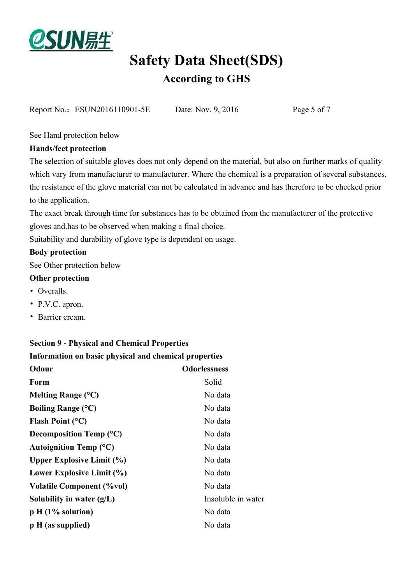

Report No.: ESUN2016110901-5E Date: Nov. 9, 2016 Page 5 of 7

See Hand protection below

### **Hands/feet protection**

The selection of suitable gloves does not only depend on the material, but also on further marks of quality which vary from manufacturer to manufacturer. Where the chemical is a preparation of several substances, the resistance of the glove material can not be calculated in advance and has therefore to be checked prior to the application.

The exact break through time for substances has to be obtained from the manufacturer of the protective gloves and.has to be observed when making a final choice.

Suitability and durability of glove type is dependent on usage.

### **Body protection**

See Other protection below

### **Other protection**

- Overalls.
- P.V.C. apron.
- Barrier cream.

### **Section 9 - Physical and Chemical Properties**

**Information on basic physical and chemical properties**

| Odour                            | <b>Odorlessness</b> |
|----------------------------------|---------------------|
| Form                             | Solid               |
| Melting Range $(^{\circ}C)$      | No data             |
| Boiling Range $(^{\circ}C)$      | No data             |
| <b>Flash Point (°C)</b>          | No data             |
| Decomposition Temp $(^{\circ}C)$ | No data             |
| Autoignition Temp $(^{\circ}C)$  | No data             |
| <b>Upper Explosive Limit (%)</b> | No data             |
| Lower Explosive Limit (%)        | No data             |
| <b>Volatile Component (%vol)</b> | No data             |
| Solubility in water $(g/L)$      | Insoluble in water  |
| $p H (1\%$ solution)             | No data             |
| $p H$ (as supplied)              | No data             |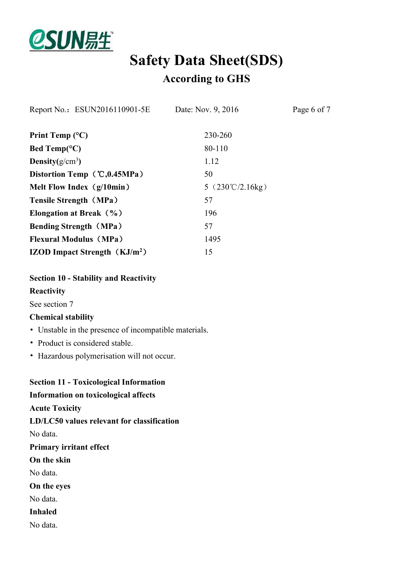

| Report No.: ESUN2016110901-5E          | Date: Nov. 9, 2016                      | Page 6 of 7 |
|----------------------------------------|-----------------------------------------|-------------|
| Print Temp $(^{\circ}C)$               | 230-260                                 |             |
| Bed Temp( ${}^{\circ}C$ )              | 80-110                                  |             |
| Density $(g/cm^3)$                     | 1.12                                    |             |
| Distortion Temp $\mathcal{C}, 0.45MPa$ | 50                                      |             |
| Melt Flow Index $(g/10min)$            | 5 $(230^{\circ}\text{C}/2.16\text{kg})$ |             |
| <b>Tensile Strength (MPa)</b>          | 57                                      |             |
| Elongation at Break $(\% )$            | 196                                     |             |
| <b>Bending Strength (MPa)</b>          | 57                                      |             |
| <b>Flexural Modulus (MPa)</b>          | 1495                                    |             |
| <b>IZOD Impact Strength</b> $(KJ/m2)$  | 15                                      |             |
|                                        |                                         |             |

**Section 10 - Stability and Reactivity**

### **Reactivity**

See section 7

#### **Chemical stability**

- Unstable in the presence of incompatible materials.
- Product is considered stable.
- Hazardous polymerisation will not occur.

**Section 11 - Toxicological Information Information on toxicological affects Acute Toxicity LD/LC50 values relevant for classification** No data. **Primary irritant effect On the skin** No data. **On the eyes** No data. **Inhaled** No data.